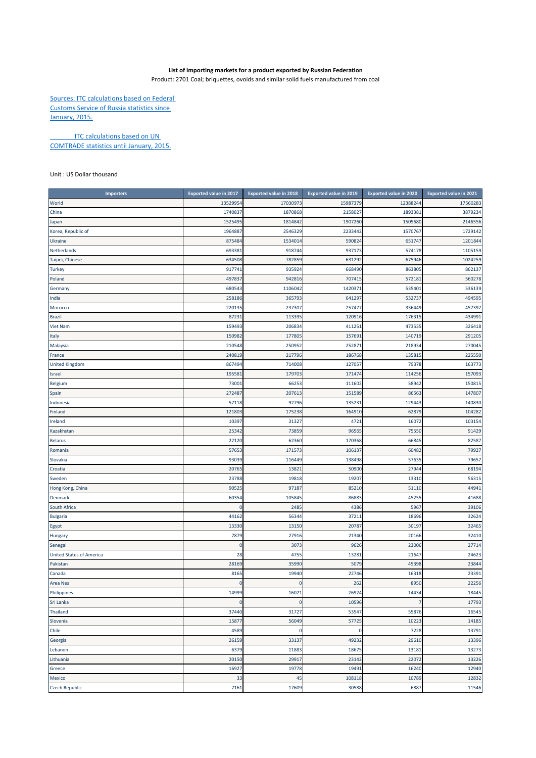## **List of importing markets for a product exported by Russian Federation**

Product: 2701 Coal; briquettes, ovoids and similar solid fuels manufactured from coal

Sources: ITC calculations based on Federal Customs Service of Russia statistics since January, 2015.

**ITC calculations based on UN** COMTRADE statistics until January, 2015.

Unit : US Dollar thousand

| <b>Importers</b>                | <b>Exported value in 2017</b> | <b>Exported value in 2018</b> | <b>Exported value in 2019</b> | <b>Exported value in 2020</b> | <b>Exported value in 2021</b> |
|---------------------------------|-------------------------------|-------------------------------|-------------------------------|-------------------------------|-------------------------------|
| World                           | 13529954                      | 17030973                      | 15987379                      | 12388244                      | 17560283                      |
| China                           | 1740837                       | 1870868                       | 2158027                       | 189338                        | 3879234                       |
| Japan                           | 1525495                       | 1814842                       | 1907260                       | 1505680                       | 2146556                       |
| Korea, Republic of              | 196488                        | 2546329                       | 2233442                       | 1570767                       | 1729142                       |
| <b>Ukraine</b>                  | 875484                        | 153401                        | 590824                        | 651747                        | 1201844                       |
| Netherlands                     | 693381                        | 918744                        | 937173                        | 574178                        | 1105159                       |
| Taipei, Chinese                 | 634508                        | 782859                        | 631292                        | 675946                        | 1024259                       |
| <b>Turkey</b>                   | 917741                        | 935924                        | 668490                        | 863805                        | 862137                        |
| Poland                          | 497837                        | 942816                        | 707415                        | 57218                         | 560278                        |
| Germany                         | 680543                        | 1106042                       | 1420371                       | 53540                         | 536139                        |
| India                           | 258186                        | 365793                        | 641297                        | 53273                         | 494595                        |
| Morocco                         | 220135                        | 237307                        | 257477                        | 336449                        | 457397                        |
| <b>Brazil</b>                   | 87231                         | 113395                        | 120916                        | 17631                         | 434991                        |
| <b>Viet Nam</b>                 | 159493                        | 206834                        | 411251                        | 473535                        | 326418                        |
| Italy                           | 150982                        | 177805                        | 157691                        | 140719                        | 291205                        |
| Malaysia                        | 210548                        | 250952                        | 252871                        | 218934                        | 270045                        |
| France                          | 240819                        | 217796                        | 186768                        | 13581                         | 225550                        |
| <b>United Kingdom</b>           | 867494                        | 714008                        | 127057                        | 79378                         | 163773                        |
| Israel                          | 19558                         | 17970                         | 171474                        | 114256                        | 157093                        |
| Belgium                         | 7300                          | 6625                          | 111602                        | 5894                          | 150815                        |
| Spain                           | 272487                        | 207613                        | 151589                        | 86563                         | 147807                        |
| Indonesia                       | 57118                         | 92796                         | 135231                        | 129443                        | 140830                        |
| Finland                         | 121803                        | 175238                        | 164910                        | 6287                          | 104282                        |
| Ireland                         | 10397                         | 31327                         | 4721                          | 1607                          | 103154                        |
| Kazakhstan                      | 25342                         | 73859                         | 96565                         | 75550                         | 91429                         |
| <b>Belarus</b>                  | 22120                         | 62360                         | 170368                        | 66845                         | 82587                         |
| Romania                         | 57653                         | 171573                        | 106137                        | 60482                         | 79927                         |
| Slovakia                        | 93039                         | 116449                        | 138498                        | 5763                          | 79657                         |
| Croatia                         | 20765                         | 13821                         | 50900                         | 27944                         | 68194                         |
| Sweden                          | 23788                         | 19818                         | 19207                         | 13310                         | 56315                         |
| Hong Kong, China                | 90525                         | 97187                         | 85210                         | 51110                         | 44941                         |
| <b>Denmark</b>                  | 60354                         | 105845                        | 86883                         | 45255                         | 41688                         |
| South Africa                    | $\Omega$                      | 2485                          | 4386                          | 5967                          | 39106                         |
| <b>Bulgaria</b>                 | 44162                         | 56344                         | 37211                         | 18696                         | 32624                         |
| Egypt                           | 13330                         | 13150                         | 20787                         | 30197                         | 32465                         |
| <b>Hungary</b>                  | 7879                          | 27916                         | 21340                         | 20166                         | 32410                         |
| Senegal                         | 0                             | 3073                          | 9626                          | 23006                         | 27714                         |
| <b>United States of America</b> | 28                            | 4755                          | 13281                         | 21647                         | 24623                         |
| Pakistan                        | 28169                         | 35990                         | 5079                          | 45398                         | 23844                         |
| Canada                          | 8165                          | 19940                         | 22746                         | 16318                         | 23391                         |
| Area Nes                        | 0                             | $\Omega$                      | 262                           | 8950                          | 22256                         |
| Philippines                     | 14999                         | 16021                         | 26924                         | 14434                         | 18445                         |
| Sri Lanka                       | 0                             | 0                             | 10596                         |                               | 17793                         |
| Thailand                        | 37440                         | 31727                         | 53547                         | 55876                         | 16545                         |
| Slovenia                        | 15877                         | 56049                         | 57725                         | 10223                         | 14185                         |
| Chile                           | 4589                          | 0                             | $\mathbf 0$                   | 7228                          | 13791                         |
| Georgia                         | 26159                         | 33137                         | 49232                         | 29610                         | 13396                         |
| Lebanon                         | 6379                          | 11883                         | 18675                         | 1318                          | 13273                         |
| Lithuania                       | 20150                         | 29917                         | 23142                         | 22072                         | 13226                         |
| Greece                          | 16927                         | 19778                         | 19491                         | 16240                         | 12940                         |
| Mexico                          | 33                            | 45                            | 108118                        | 10789                         | 12832                         |
| <b>Czech Republic</b>           | 7161                          | 17609                         | 30588                         | 6887                          | 11546                         |